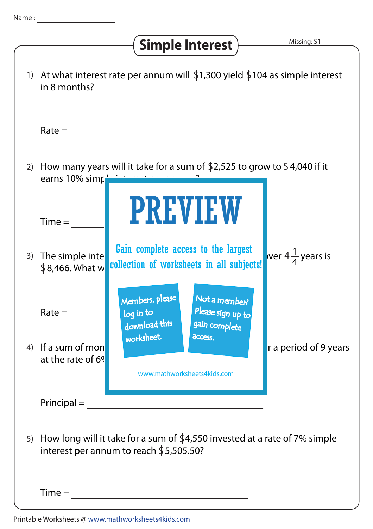## Simple Interest  $\frac{M}{\frac{M \text{ is } \text{sing: } S1}{M}}$

| $\left( \begin{array}{c} 1 \end{array} \right)$ | At what interest rate per annum will $$1,300$ yield $$104$ as simple interest<br>in 8 months?                           |                                                                                                      |                             |
|-------------------------------------------------|-------------------------------------------------------------------------------------------------------------------------|------------------------------------------------------------------------------------------------------|-----------------------------|
|                                                 | $Rate =$                                                                                                                |                                                                                                      |                             |
| 2)                                              | How many years will it take for a sum of \$2,525 to grow to \$4,040 if it<br>earns 10% simple international manufacture |                                                                                                      |                             |
|                                                 | $Time =$                                                                                                                | <b>PREVIEW</b>                                                                                       |                             |
| 3)                                              | The simple inte<br>\$8,466. What w                                                                                      | Gain complete access to the largest<br>collection of worksheets in all subjects!                     | ver $4\frac{1}{4}$ years is |
|                                                 | $Rate =$                                                                                                                | Members, please<br>Not a member?<br>Please sign up to<br>log in to<br>download this<br>gain complete |                             |
| 4)                                              | If a sum of mon<br>at the rate of 6 <sup>9</sup>                                                                        | worksheet.<br>access.<br>www.mathworksheets4kids.com                                                 | r a period of 9 years       |
|                                                 | $Principal =$                                                                                                           |                                                                                                      |                             |
| 5)                                              | How long will it take for a sum of \$4,550 invested at a rate of 7% simple<br>interest per annum to reach $$5,505.50$ ? |                                                                                                      |                             |
|                                                 | $Time =$                                                                                                                |                                                                                                      |                             |